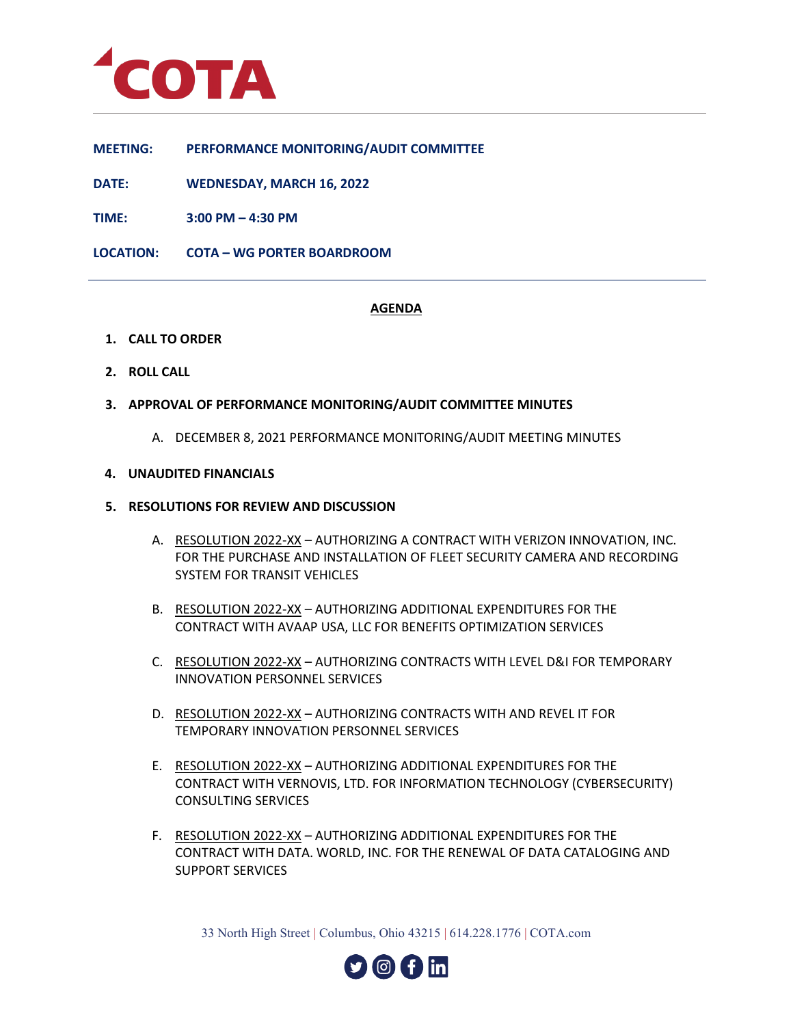

**MEETING: PERFORMANCE MONITORING/AUDIT COMMITTEE**

**DATE: WEDNESDAY, MARCH 16, 2022**

**TIME: 3:00 PM – 4:30 PM**

**LOCATION: COTA – WG PORTER BOARDROOM**

# **AGENDA**

- **1. CALL TO ORDER**
- **2. ROLL CALL**
- **3. APPROVAL OF PERFORMANCE MONITORING/AUDIT COMMITTEE MINUTES**
	- A. DECEMBER 8, 2021 PERFORMANCE MONITORING/AUDIT MEETING MINUTES

#### **4. UNAUDITED FINANCIALS**

#### **5. RESOLUTIONS FOR REVIEW AND DISCUSSION**

- A. RESOLUTION 2022-XX AUTHORIZING A CONTRACT WITH VERIZON INNOVATION, INC. FOR THE PURCHASE AND INSTALLATION OF FLEET SECURITY CAMERA AND RECORDING SYSTEM FOR TRANSIT VEHICLES
- B. RESOLUTION 2022-XX AUTHORIZING ADDITIONAL EXPENDITURES FOR THE CONTRACT WITH AVAAP USA, LLC FOR BENEFITS OPTIMIZATION SERVICES
- C. RESOLUTION 2022-XX AUTHORIZING CONTRACTS WITH LEVEL D&I FOR TEMPORARY INNOVATION PERSONNEL SERVICES
- D. RESOLUTION 2022-XX AUTHORIZING CONTRACTS WITH AND REVEL IT FOR TEMPORARY INNOVATION PERSONNEL SERVICES
- E. RESOLUTION 2022-XX AUTHORIZING ADDITIONAL EXPENDITURES FOR THE CONTRACT WITH VERNOVIS, LTD. FOR INFORMATION TECHNOLOGY (CYBERSECURITY) CONSULTING SERVICES
- F. RESOLUTION 2022-XX AUTHORIZING ADDITIONAL EXPENDITURES FOR THE CONTRACT WITH DATA. WORLD, INC. FOR THE RENEWAL OF DATA CATALOGING AND SUPPORT SERVICES

33 North High Street | Columbus, Ohio 43215 | 614.228.1776 | COTA.com

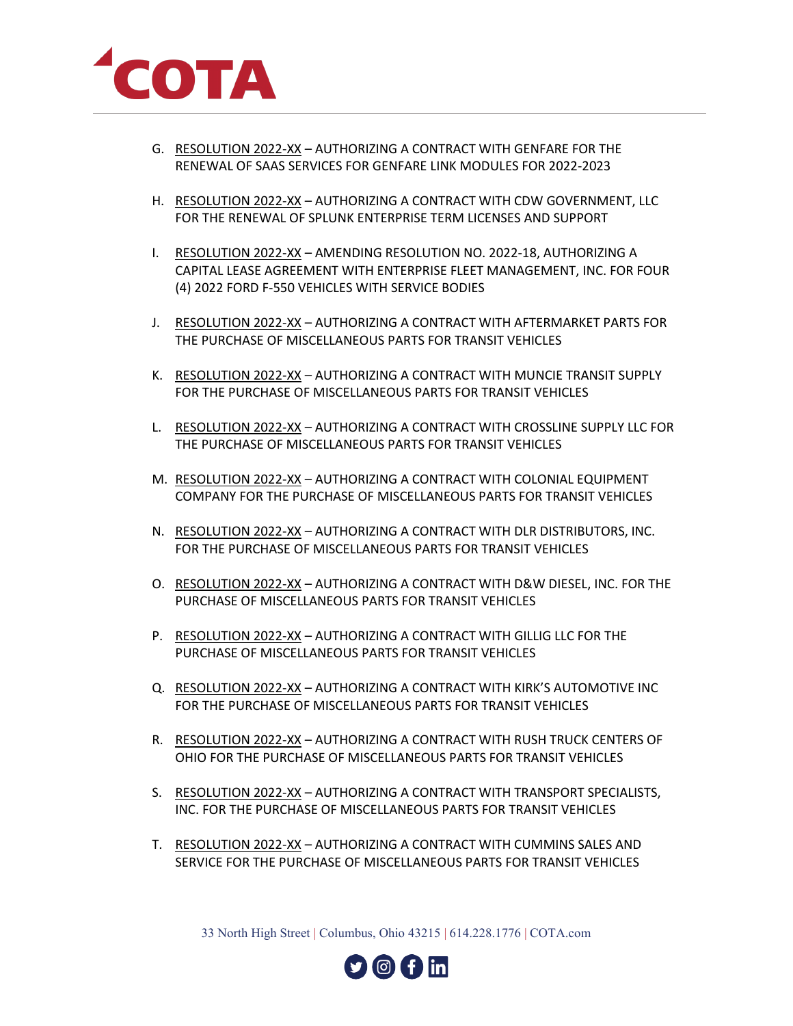

- G. RESOLUTION 2022-XX AUTHORIZING A CONTRACT WITH GENFARE FOR THE RENEWAL OF SAAS SERVICES FOR GENFARE LINK MODULES FOR 2022-2023
- H. RESOLUTION 2022-XX AUTHORIZING A CONTRACT WITH CDW GOVERNMENT, LLC FOR THE RENEWAL OF SPLUNK ENTERPRISE TERM LICENSES AND SUPPORT
- I. RESOLUTION 2022-XX AMENDING RESOLUTION NO. 2022-18, AUTHORIZING A CAPITAL LEASE AGREEMENT WITH ENTERPRISE FLEET MANAGEMENT, INC. FOR FOUR (4) 2022 FORD F-550 VEHICLES WITH SERVICE BODIES
- J. RESOLUTION 2022-XX AUTHORIZING A CONTRACT WITH AFTERMARKET PARTS FOR THE PURCHASE OF MISCELLANEOUS PARTS FOR TRANSIT VEHICLES
- K. RESOLUTION 2022-XX AUTHORIZING A CONTRACT WITH MUNCIE TRANSIT SUPPLY FOR THE PURCHASE OF MISCELLANEOUS PARTS FOR TRANSIT VEHICLES
- L. RESOLUTION 2022-XX AUTHORIZING A CONTRACT WITH CROSSLINE SUPPLY LLC FOR THE PURCHASE OF MISCELLANEOUS PARTS FOR TRANSIT VEHICLES
- M. RESOLUTION 2022-XX AUTHORIZING A CONTRACT WITH COLONIAL EQUIPMENT COMPANY FOR THE PURCHASE OF MISCELLANEOUS PARTS FOR TRANSIT VEHICLES
- N. RESOLUTION 2022-XX AUTHORIZING A CONTRACT WITH DLR DISTRIBUTORS, INC. FOR THE PURCHASE OF MISCELLANEOUS PARTS FOR TRANSIT VEHICLES
- O. RESOLUTION 2022-XX AUTHORIZING A CONTRACT WITH D&W DIESEL, INC. FOR THE PURCHASE OF MISCELLANEOUS PARTS FOR TRANSIT VEHICLES
- P. RESOLUTION 2022-XX AUTHORIZING A CONTRACT WITH GILLIG LLC FOR THE PURCHASE OF MISCELLANEOUS PARTS FOR TRANSIT VEHICLES
- Q. RESOLUTION 2022-XX AUTHORIZING A CONTRACT WITH KIRK'S AUTOMOTIVE INC FOR THE PURCHASE OF MISCELLANEOUS PARTS FOR TRANSIT VEHICLES
- R. RESOLUTION 2022-XX AUTHORIZING A CONTRACT WITH RUSH TRUCK CENTERS OF OHIO FOR THE PURCHASE OF MISCELLANEOUS PARTS FOR TRANSIT VEHICLES
- S. RESOLUTION 2022-XX AUTHORIZING A CONTRACT WITH TRANSPORT SPECIALISTS, INC. FOR THE PURCHASE OF MISCELLANEOUS PARTS FOR TRANSIT VEHICLES
- T. RESOLUTION 2022-XX AUTHORIZING A CONTRACT WITH CUMMINS SALES AND SERVICE FOR THE PURCHASE OF MISCELLANEOUS PARTS FOR TRANSIT VEHICLES

33 North High Street | Columbus, Ohio 43215 | 614.228.1776 | COTA.com